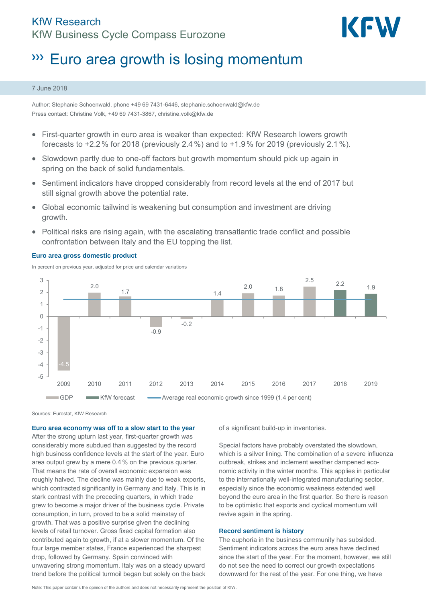

# **WEU area growth is losing momentum**

#### 7 June 2018

Author: Stephanie Schoenwald, phone +49 69 7431-6446, stephanie.schoenwald@kfw.de Press contact: Christine Volk, +49 69 7431-3867, christine.volk@kfw.de

- First-quarter growth in euro area is weaker than expected: KfW Research lowers growth forecasts to  $+2.2$ % for 2018 (previously 2.4%) and to  $+1.9$ % for 2019 (previously 2.1%).
- Slowdown partly due to one-off factors but growth momentum should pick up again in spring on the back of solid fundamentals.
- Sentiment indicators have dropped considerably from record levels at the end of 2017 but still signal growth above the potential rate.
- Global economic tailwind is weakening but consumption and investment are driving growth.
- Political risks are rising again, with the escalating transatlantic trade conflict and possible confrontation between Italy and the EU topping the list.



### **Euro area gross domestic product**

In percent on previous year, adjusted for price and calendar variations

Sources: Eurostat, KfW Research

**Euro area economy was off to a slow start to the year** 

After the strong upturn last year, first-quarter growth was considerably more subdued than suggested by the record high business confidence levels at the start of the year. Euro area output grew by a mere 0.4% on the previous quarter. That means the rate of overall economic expansion was roughly halved. The decline was mainly due to weak exports, which contracted significantly in Germany and Italy. This is in stark contrast with the preceding quarters, in which trade grew to become a major driver of the business cycle. Private consumption, in turn, proved to be a solid mainstay of growth. That was a positive surprise given the declining levels of retail turnover. Gross fixed capital formation also contributed again to growth, if at a slower momentum. Of the four large member states, France experienced the sharpest drop, followed by Germany. Spain convinced with unwavering strong momentum. Italy was on a steady upward trend before the political turmoil began but solely on the back of a significant build-up in inventories.

Special factors have probably overstated the slowdown, which is a silver lining. The combination of a severe influenza outbreak, strikes and inclement weather dampened economic activity in the winter months. This applies in particular to the internationally well-integrated manufacturing sector, especially since the economic weakness extended well beyond the euro area in the first quarter. So there is reason to be optimistic that exports and cyclical momentum will revive again in the spring.

## **Record sentiment is history**

The euphoria in the business community has subsided. Sentiment indicators across the euro area have declined since the start of the year. For the moment, however, we still do not see the need to correct our growth expectations downward for the rest of the year. For one thing, we have